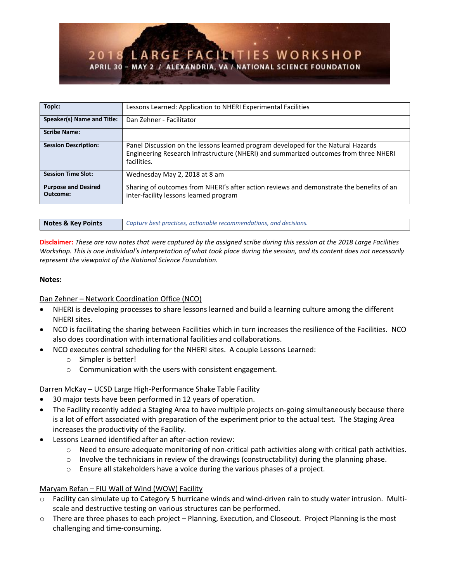| Topic:                                 | Lessons Learned: Application to NHERI Experimental Facilities                                                                                                                            |
|----------------------------------------|------------------------------------------------------------------------------------------------------------------------------------------------------------------------------------------|
| Speaker(s) Name and Title:             | Dan Zehner - Facilitator                                                                                                                                                                 |
| <b>Scribe Name:</b>                    |                                                                                                                                                                                          |
| <b>Session Description:</b>            | Panel Discussion on the lessons learned program developed for the Natural Hazards<br>Engineering Research Infrastructure (NHERI) and summarized outcomes from three NHERI<br>facilities. |
| <b>Session Time Slot:</b>              | Wednesday May 2, 2018 at 8 am                                                                                                                                                            |
| <b>Purpose and Desired</b><br>Outcome: | Sharing of outcomes from NHERI's after action reviews and demonstrate the benefits of an<br>inter-facility lessons learned program                                                       |

| Notes & Key Points | Capture best practices, actionable recommendations, and decisions. |
|--------------------|--------------------------------------------------------------------|

**Disclaimer:** *These are raw notes that were captured by the assigned scribe during this session at the 2018 Large Facilities Workshop. This is one individual's interpretation of what took place during the session, and its content does not necessarily represent the viewpoint of the National Science Foundation.*

## **Notes:**

# Dan Zehner – Network Coordination Office (NCO)

- NHERI is developing processes to share lessons learned and build a learning culture among the different NHERI sites.
- NCO is facilitating the sharing between Facilities which in turn increases the resilience of the Facilities. NCO also does coordination with international facilities and collaborations.
- NCO executes central scheduling for the NHERI sites. A couple Lessons Learned:
	- o Simpler is better!
	- o Communication with the users with consistent engagement.

# Darren McKay – UCSD Large High-Performance Shake Table Facility

- 30 major tests have been performed in 12 years of operation.
- The Facility recently added a Staging Area to have multiple projects on-going simultaneously because there is a lot of effort associated with preparation of the experiment prior to the actual test. The Staging Area increases the productivity of the Facility.
- Lessons Learned identified after an after-action review:
	- o Need to ensure adequate monitoring of non-critical path activities along with critical path activities.
	- $\circ$  Involve the technicians in review of the drawings (constructability) during the planning phase.
	- o Ensure all stakeholders have a voice during the various phases of a project.

# Maryam Refan – FIU Wall of Wind (WOW) Facility

- o Facility can simulate up to Category 5 hurricane winds and wind-driven rain to study water intrusion. Multiscale and destructive testing on various structures can be performed.
- o There are three phases to each project Planning, Execution, and Closeout. Project Planning is the most challenging and time-consuming.